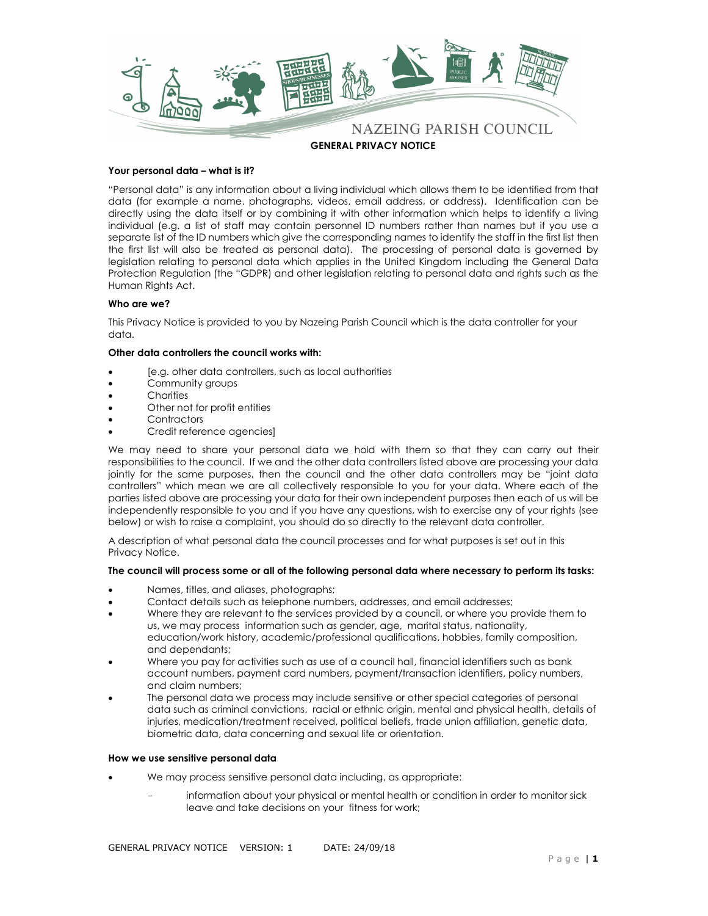

## Your personal data – what is it?

"Personal data" is any information about a living individual which allows them to be identified from that data (for example a name, photographs, videos, email address, or address). Identification can be directly using the data itself or by combining it with other information which helps to identify a living individual (e.g. a list of staff may contain personnel ID numbers rather than names but if you use a separate list of the ID numbers which give the corresponding names to identify the staff in the first list then the first list will also be treated as personal data). The processing of personal data is governed by legislation relating to personal data which applies in the United Kingdom including the General Data Protection Regulation (the "GDPR) and other legislation relating to personal data and rights such as the Human Rights Act.

# Who are we?

This Privacy Notice is provided to you by Nazeing Parish Council which is the data controller for your data.

# Other data controllers the council works with:

- [e.g. other data controllers, such as local authorities
- Community groups
- **Charities**
- Other not for profit entities
- **Contractors**
- Credit reference agencies]

We may need to share your personal data we hold with them so that they can carry out their responsibilities to the council. If we and the other data controllers listed above are processing your data jointly for the same purposes, then the council and the other data controllers may be "joint data controllers" which mean we are all collectively responsible to you for your data. Where each of the parties listed above are processing your data for their own independent purposes then each of us will be independently responsible to you and if you have any questions, wish to exercise any of your rights (see below) or wish to raise a complaint, you should do so directly to the relevant data controller.

A description of what personal data the council processes and for what purposes is set out in this Privacy Notice.

# The council will process some or all of the following personal data where necessary to perform its tasks:

- Names, titles, and aliases, photographs;
- Contact details such as telephone numbers, addresses, and email addresses;
- Where they are relevant to the services provided by a council, or where you provide them to us, we may process information such as gender, age, marital status, nationality, education/work history, academic/professional qualifications, hobbies, family composition, and dependants;
- Where you pay for activities such as use of a council hall, financial identifiers such as bank account numbers, payment card numbers, payment/transaction identifiers, policy numbers, and claim numbers;
- The personal data we process may include sensitive or other special categories of personal data such as criminal convictions, racial or ethnic origin, mental and physical health, details of injuries, medication/treatment received, political beliefs, trade union affiliation, genetic data, biometric data, data concerning and sexual life or orientation.

## How we use sensitive personal data

- We may process sensitive personal data including, as appropriate:
	- information about your physical or mental health or condition in order to monitor sick leave and take decisions on your fitness for work;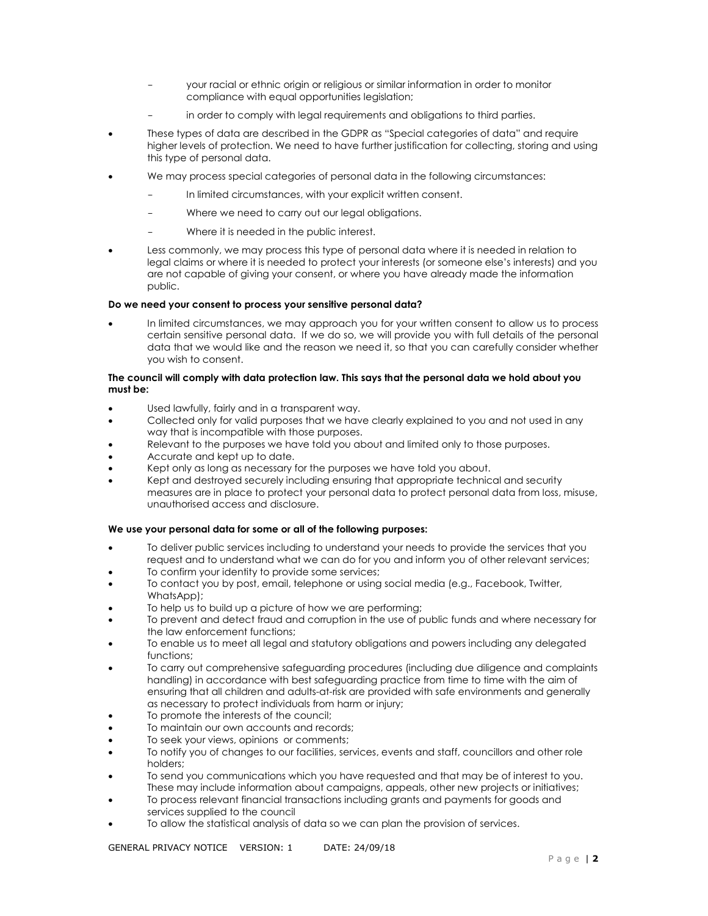- your racial or ethnic origin or religious or similar information in order to monitor compliance with equal opportunities legislation;
- in order to comply with legal requirements and obligations to third parties.
- These types of data are described in the GDPR as "Special categories of data" and require higher levels of protection. We need to have further justification for collecting, storing and using this type of personal data.
- We may process special categories of personal data in the following circumstances:
	- In limited circumstances, with your explicit written consent.
	- Where we need to carry out our legal obligations.
	- Where it is needed in the public interest.
- Less commonly, we may process this type of personal data where it is needed in relation to legal claims or where it is needed to protect your interests (or someone else's interests) and you are not capable of giving your consent, or where you have already made the information public.

# Do we need your consent to process your sensitive personal data?

 In limited circumstances, we may approach you for your written consent to allow us to process certain sensitive personal data. If we do so, we will provide you with full details of the personal data that we would like and the reason we need it, so that you can carefully consider whether you wish to consent.

# The council will comply with data protection law. This says that the personal data we hold about you must be:

- Used lawfully, fairly and in a transparent way.
- Collected only for valid purposes that we have clearly explained to you and not used in any way that is incompatible with those purposes.
- Relevant to the purposes we have told you about and limited only to those purposes.
- Accurate and kept up to date.
- Kept only as long as necessary for the purposes we have told you about.
- Kept and destroyed securely including ensuring that appropriate technical and security measures are in place to protect your personal data to protect personal data from loss, misuse, unauthorised access and disclosure.

# We use your personal data for some or all of the following purposes:

- To deliver public services including to understand your needs to provide the services that you request and to understand what we can do for you and inform you of other relevant services;
- To confirm your identity to provide some services;
- To contact you by post, email, telephone or using social media (e.g., Facebook, Twitter, WhatsApp);
- To help us to build up a picture of how we are performing;
- To prevent and detect fraud and corruption in the use of public funds and where necessary for the law enforcement functions;
- To enable us to meet all legal and statutory obligations and powers including any delegated functions;
- To carry out comprehensive safeguarding procedures (including due diligence and complaints handling) in accordance with best safeguarding practice from time to time with the aim of ensuring that all children and adults-at-risk are provided with safe environments and generally as necessary to protect individuals from harm or injury;
- To promote the interests of the council;
- To maintain our own accounts and records;
- To seek your views, opinions or comments;
- To notify you of changes to our facilities, services, events and staff, councillors and other role holders;
- To send you communications which you have requested and that may be of interest to you. These may include information about campaigns, appeals, other new projects or initiatives;
- To process relevant financial transactions including grants and payments for goods and services supplied to the council
- To allow the statistical analysis of data so we can plan the provision of services.

GENERAL PRIVACY NOTICE VERSION: 1 DATE: 24/09/18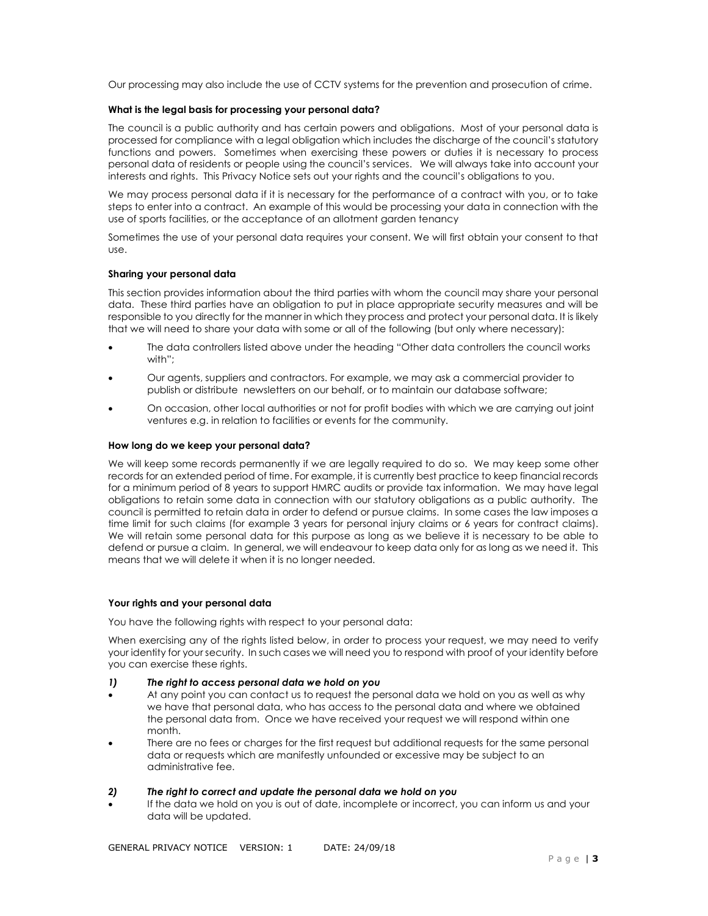Our processing may also include the use of CCTV systems for the prevention and prosecution of crime.

## What is the legal basis for processing your personal data?

The council is a public authority and has certain powers and obligations. Most of your personal data is processed for compliance with a legal obligation which includes the discharge of the council's statutory functions and powers. Sometimes when exercising these powers or duties it is necessary to process personal data of residents or people using the council's services. We will always take into account your interests and rights. This Privacy Notice sets out your rights and the council's obligations to you.

We may process personal data if it is necessary for the performance of a contract with you, or to take steps to enter into a contract. An example of this would be processing your data in connection with the use of sports facilities, or the acceptance of an allotment garden tenancy

Sometimes the use of your personal data requires your consent. We will first obtain your consent to that use.

## Sharing your personal data

This section provides information about the third parties with whom the council may share your personal data. These third parties have an obligation to put in place appropriate security measures and will be responsible to you directly for the manner in which they process and protect your personal data. It is likely that we will need to share your data with some or all of the following (but only where necessary):

- The data controllers listed above under the heading "Other data controllers the council works with";
- Our agents, suppliers and contractors. For example, we may ask a commercial provider to publish or distribute newsletters on our behalf, or to maintain our database software;
- On occasion, other local authorities or not for profit bodies with which we are carrying out joint ventures e.g. in relation to facilities or events for the community.

#### How long do we keep your personal data?

We will keep some records permanently if we are legally required to do so. We may keep some other records for an extended period of time. For example, it is currently best practice to keep financial records for a minimum period of 8 years to support HMRC audits or provide tax information. We may have legal obligations to retain some data in connection with our statutory obligations as a public authority. The council is permitted to retain data in order to defend or pursue claims. In some cases the law imposes a time limit for such claims (for example 3 years for personal injury claims or 6 years for contract claims). We will retain some personal data for this purpose as long as we believe it is necessary to be able to defend or pursue a claim. In general, we will endeavour to keep data only for as long as we need it. This means that we will delete it when it is no longer needed.

#### Your rights and your personal data

You have the following rights with respect to your personal data:

When exercising any of the rights listed below, in order to process your request, we may need to verify your identity for your security. In such cases we will need you to respond with proof of your identity before you can exercise these rights.

## 1) The right to access personal data we hold on you

- At any point you can contact us to request the personal data we hold on you as well as why we have that personal data, who has access to the personal data and where we obtained the personal data from. Once we have received your request we will respond within one month.
- There are no fees or charges for the first request but additional requests for the same personal data or requests which are manifestly unfounded or excessive may be subject to an administrative fee.

#### 2) The right to correct and update the personal data we hold on you

 If the data we hold on you is out of date, incomplete or incorrect, you can inform us and your data will be updated.